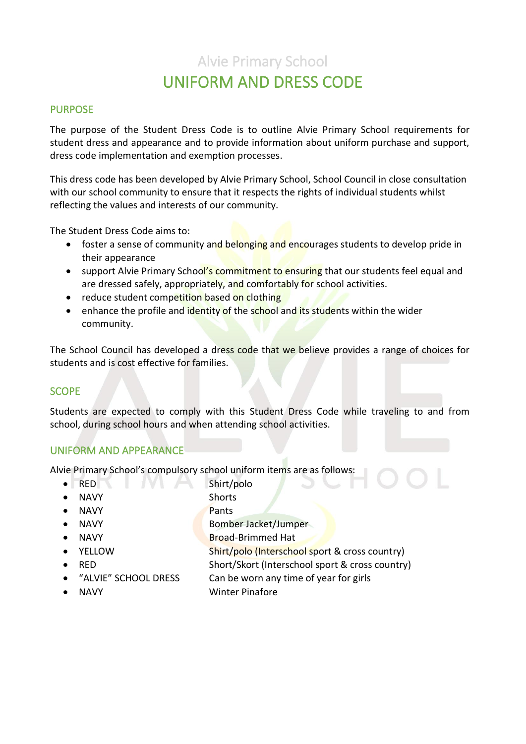# Alvie Primary School UNIFORM AND DRESS CODE

#### PURPOSE

The purpose of the Student Dress Code is to outline Alvie Primary School requirements for student dress and appearance and to provide information about uniform purchase and support, dress code implementation and exemption processes.

This dress code has been developed by Alvie Primary School, School Council in close consultation with our school community to ensure that it respects the rights of individual students whilst reflecting the values and interests of our community.

The Student Dress Code aims to:

- foster a sense of community and belonging and encourages students to develop pride in their appearance
- support Alvie Primary School's commitment to ensuring that our students feel equal and are dressed safely, appropriately, and comfortably for school activities.
- reduce student competition based on clothing
- enhance the profile and identity of the school and its students within the wider community.

The School Council has developed a dress code that we believe provides a range of choices for students and is cost effective for families.

#### **SCOPE**

Students are expected to comply with this Student Dress Code while traveling to and from school, during school hours and when attending school activities.

#### UNIFORM AND APPEARANCE

Alvie Primary School's compulsory school uniform items are as follows:

- RED Shirt/polo
- NAVY Shorts
- NAVY Pants
- NAVY **Bomber Jacket/Jumper**
- 
- 
- 
- 

• NAVY Broad-Brimmed Hat • YELLOW Shirt/polo (Interschool sport & cross country) • RED Short/Skort (Interschool sport & cross country) • "ALVIE" SCHOOL DRESS Can be worn any time of year for girls

• NAVY Winter Pinafore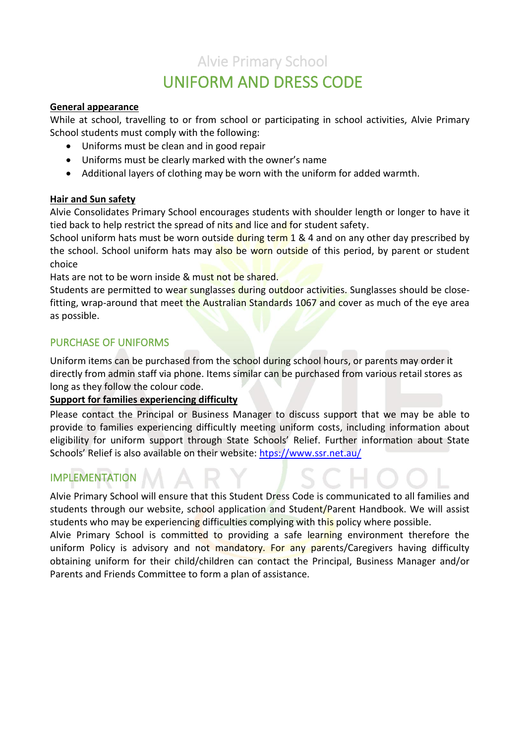## Alvie Primary School UNIFORM AND DRESS CODE

#### **General appearance**

While at school, travelling to or from school or participating in school activities, Alvie Primary School students must comply with the following:

- Uniforms must be clean and in good repair
- Uniforms must be clearly marked with the owner's name
- Additional layers of clothing may be worn with the uniform for added warmth.

#### **Hair and Sun safety**

Alvie Consolidates Primary School encourages students with shoulder length or longer to have it tied back to help restrict the spread of nits and lice and for student safety.

School uniform hats must be worn outside during term 1 & 4 and on any other day prescribed by the school. School uniform hats may also be worn outside of this period, by parent or student choice

Hats are not to be worn inside & must not be shared.

Students are permitted to wear sunglasses during outdoor activities. Sunglasses should be closefitting, wrap-around that meet the Australian Standards 1067 and cover as much of the eye area as possible.

#### PURCHASE OF UNIFORMS

Uniform items can be purchased from the school during school hours, or parents may order it directly from admin staff via phone. Items similar can be purchased from various retail stores as long as they follow the colour code.

#### **Support for families experiencing difficulty**

Please contact the Principal or Business Manager to discuss support that we may be able to provide to families experiencing difficultly meeting uniform costs, including information about eligibility for uniform support through State Schools' Relief. Further information about State Schools' Relief is also available on their website: [htps://www.ssr.net.au/](https://www.ssr.net.au/)

#### IMPLEMENTATION

Alvie Primary School will ensure that this Student Dress Code is communicated to all families and students through our website, school application and Student/Parent Handbook. We will assist students who may be experiencing difficulties complying with this policy where possible.

Alvie Primary School is committed to providing a safe learning environment therefore the uniform Policy is advisory and not mandatory. For any parents/Caregivers having difficulty obtaining uniform for their child/children can contact the Principal, Business Manager and/or Parents and Friends Committee to form a plan of assistance.